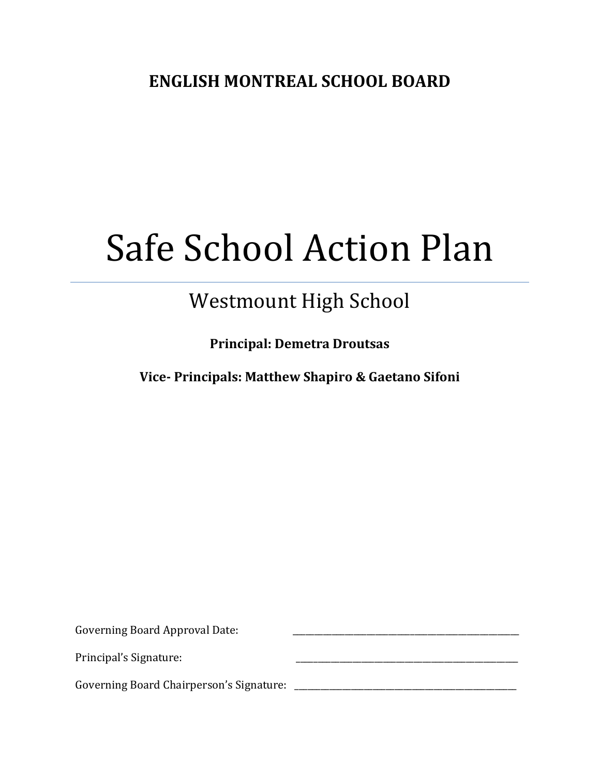# Safe School Action Plan

## Westmount High School

**Principal: Demetra Droutsas**

**Vice- Principals: Matthew Shapiro & Gaetano Sifoni**

Governing Board Approval Date: Principal's Signature: Governing Board Chairperson's Signature: \_\_\_\_\_\_\_\_\_\_\_\_\_\_\_\_\_\_\_\_\_\_\_\_\_\_\_\_\_\_\_\_\_\_\_\_\_\_\_\_\_\_\_\_\_\_\_\_\_\_\_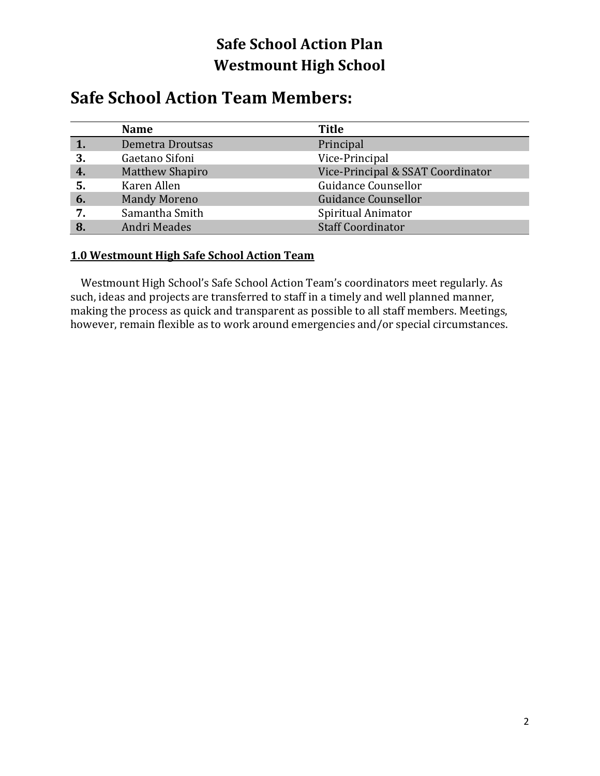### **Safe School Action Team Members:**

|       | <b>Name</b>            | <b>Title</b>                      |
|-------|------------------------|-----------------------------------|
|       | Demetra Droutsas       | Principal                         |
| 3     | Gaetano Sifoni         | Vice-Principal                    |
| $-4.$ | <b>Matthew Shapiro</b> | Vice-Principal & SSAT Coordinator |
| 5.    | Karen Allen            | Guidance Counsellor               |
| 6.    | <b>Mandy Moreno</b>    | Guidance Counsellor               |
| 7.    | Samantha Smith         | Spiritual Animator                |
| 8     | Andri Meades           | <b>Staff Coordinator</b>          |

#### **1.0 Westmount High Safe School Action Team**

 Westmount High School's Safe School Action Team's coordinators meet regularly. As such, ideas and projects are transferred to staff in a timely and well planned manner, making the process as quick and transparent as possible to all staff members. Meetings, however, remain flexible as to work around emergencies and/or special circumstances.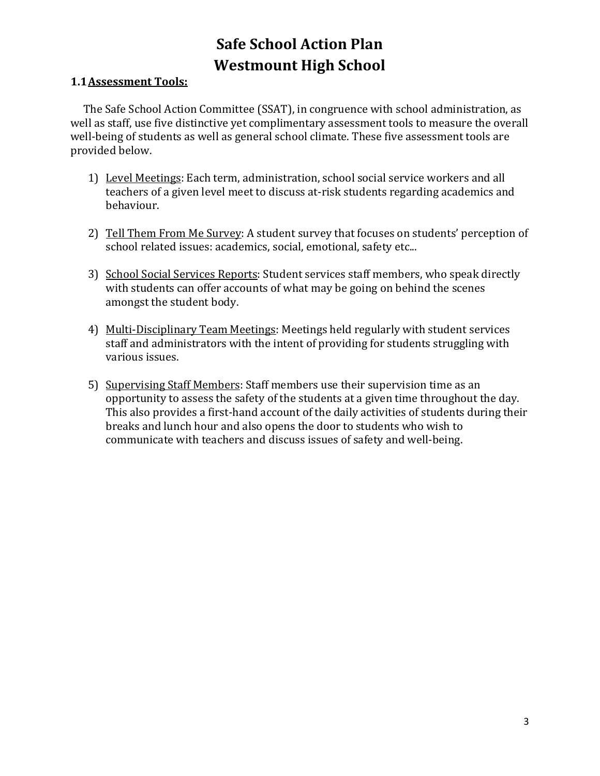#### **1.1Assessment Tools:**

 The Safe School Action Committee (SSAT), in congruence with school administration, as well as staff, use five distinctive yet complimentary assessment tools to measure the overall well-being of students as well as general school climate. These five assessment tools are provided below.

- 1) Level Meetings: Each term, administration, school social service workers and all teachers of a given level meet to discuss at-risk students regarding academics and behaviour.
- 2) Tell Them From Me Survey: A student survey that focuses on students' perception of school related issues: academics, social, emotional, safety etc...
- 3) School Social Services Reports: Student services staff members, who speak directly with students can offer accounts of what may be going on behind the scenes amongst the student body.
- 4) Multi-Disciplinary Team Meetings: Meetings held regularly with student services staff and administrators with the intent of providing for students struggling with various issues.
- 5) Supervising Staff Members: Staff members use their supervision time as an opportunity to assess the safety of the students at a given time throughout the day. This also provides a first-hand account of the daily activities of students during their breaks and lunch hour and also opens the door to students who wish to communicate with teachers and discuss issues of safety and well-being.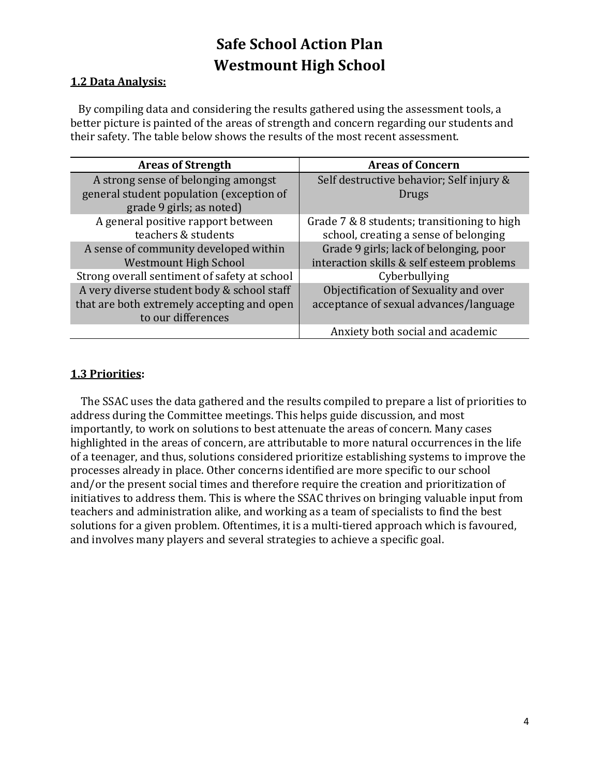#### **1.2 Data Analysis:**

 By compiling data and considering the results gathered using the assessment tools, a better picture is painted of the areas of strength and concern regarding our students and their safety. The table below shows the results of the most recent assessment.

| <b>Areas of Strength</b>                     | <b>Areas of Concern</b>                     |  |
|----------------------------------------------|---------------------------------------------|--|
| A strong sense of belonging amongst          | Self destructive behavior; Self injury &    |  |
| general student population (exception of     | Drugs                                       |  |
| grade 9 girls; as noted)                     |                                             |  |
| A general positive rapport between           | Grade 7 & 8 students; transitioning to high |  |
| teachers & students                          | school, creating a sense of belonging       |  |
| A sense of community developed within        | Grade 9 girls; lack of belonging, poor      |  |
| <b>Westmount High School</b>                 | interaction skills & self esteem problems   |  |
| Strong overall sentiment of safety at school | Cyberbullying                               |  |
| A very diverse student body & school staff   | Objectification of Sexuality and over       |  |
| that are both extremely accepting and open   | acceptance of sexual advances/language      |  |
| to our differences                           |                                             |  |
|                                              | Anxiety both social and academic            |  |

#### **1.3 Priorities:**

 The SSAC uses the data gathered and the results compiled to prepare a list of priorities to address during the Committee meetings. This helps guide discussion, and most importantly, to work on solutions to best attenuate the areas of concern. Many cases highlighted in the areas of concern, are attributable to more natural occurrences in the life of a teenager, and thus, solutions considered prioritize establishing systems to improve the processes already in place. Other concerns identified are more specific to our school and/or the present social times and therefore require the creation and prioritization of initiatives to address them. This is where the SSAC thrives on bringing valuable input from teachers and administration alike, and working as a team of specialists to find the best solutions for a given problem. Oftentimes, it is a multi-tiered approach which is favoured, and involves many players and several strategies to achieve a specific goal.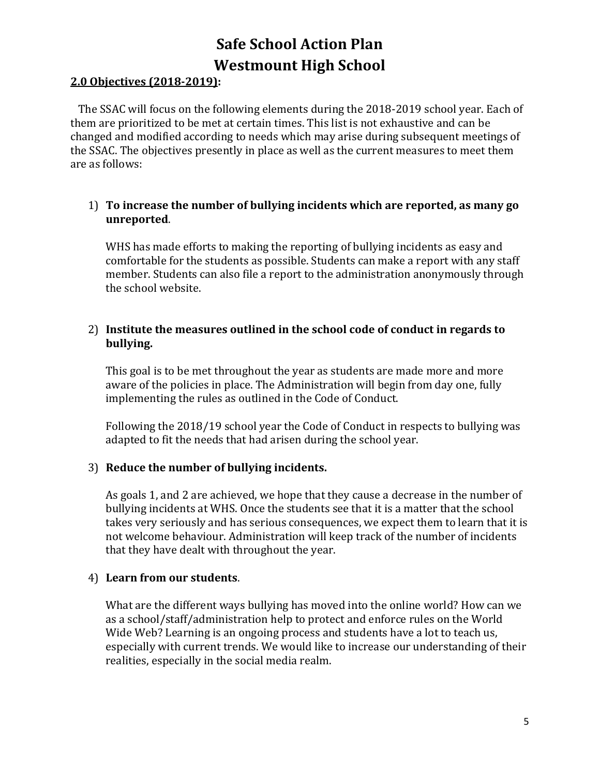#### **2.0 Objectives (2018-2019):**

 The SSAC will focus on the following elements during the 2018-2019 school year. Each of them are prioritized to be met at certain times. This list is not exhaustive and can be changed and modified according to needs which may arise during subsequent meetings of the SSAC. The objectives presently in place as well as the current measures to meet them are as follows:

#### 1) **To increase the number of bullying incidents which are reported, as many go unreported**.

WHS has made efforts to making the reporting of bullying incidents as easy and comfortable for the students as possible. Students can make a report with any staff member. Students can also file a report to the administration anonymously through the school website.

#### 2) **Institute the measures outlined in the school code of conduct in regards to bullying.**

This goal is to be met throughout the year as students are made more and more aware of the policies in place. The Administration will begin from day one, fully implementing the rules as outlined in the Code of Conduct.

Following the 2018/19 school year the Code of Conduct in respects to bullying was adapted to fit the needs that had arisen during the school year.

#### 3) **Reduce the number of bullying incidents.**

As goals 1, and 2 are achieved, we hope that they cause a decrease in the number of bullying incidents at WHS. Once the students see that it is a matter that the school takes very seriously and has serious consequences, we expect them to learn that it is not welcome behaviour. Administration will keep track of the number of incidents that they have dealt with throughout the year.

#### 4) **Learn from our students**.

What are the different ways bullying has moved into the online world? How can we as a school/staff/administration help to protect and enforce rules on the World Wide Web? Learning is an ongoing process and students have a lot to teach us, especially with current trends. We would like to increase our understanding of their realities, especially in the social media realm.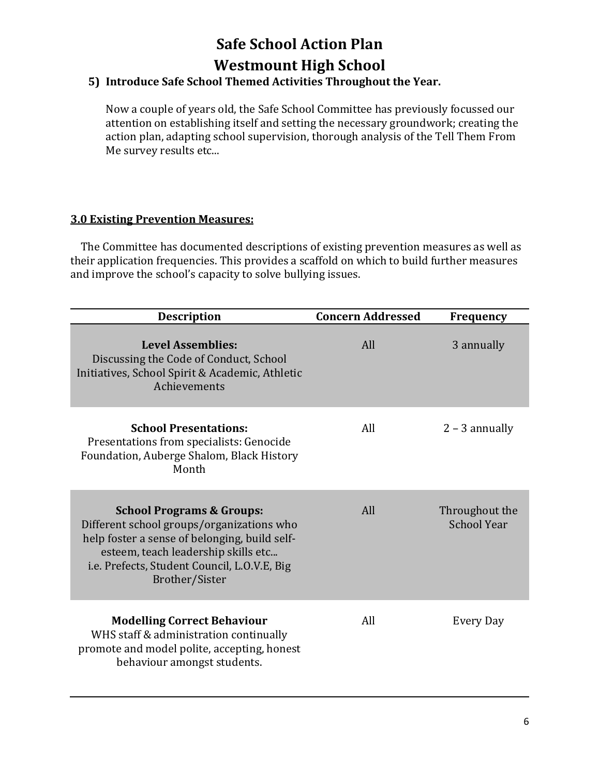#### **5) Introduce Safe School Themed Activities Throughout the Year.**

Now a couple of years old, the Safe School Committee has previously focussed our attention on establishing itself and setting the necessary groundwork; creating the action plan, adapting school supervision, thorough analysis of the Tell Them From Me survey results etc...

#### **3.0 Existing Prevention Measures:**

 The Committee has documented descriptions of existing prevention measures as well as their application frequencies. This provides a scaffold on which to build further measures and improve the school's capacity to solve bullying issues.

| <b>Description</b>                                                                                                                                                                                                                          | <b>Concern Addressed</b> | <b>Frequency</b>                     |
|---------------------------------------------------------------------------------------------------------------------------------------------------------------------------------------------------------------------------------------------|--------------------------|--------------------------------------|
| <b>Level Assemblies:</b><br>Discussing the Code of Conduct, School<br>Initiatives, School Spirit & Academic, Athletic<br>Achievements                                                                                                       | All                      | 3 annually                           |
| <b>School Presentations:</b><br>Presentations from specialists: Genocide<br>Foundation, Auberge Shalom, Black History<br>Month                                                                                                              | All                      | $2 - 3$ annually                     |
| <b>School Programs &amp; Groups:</b><br>Different school groups/organizations who<br>help foster a sense of belonging, build self-<br>esteem, teach leadership skills etc<br>i.e. Prefects, Student Council, L.O.V.E, Big<br>Brother/Sister | All                      | Throughout the<br><b>School Year</b> |
| <b>Modelling Correct Behaviour</b><br>WHS staff & administration continually<br>promote and model polite, accepting, honest<br>behaviour amongst students.                                                                                  | All                      | Every Day                            |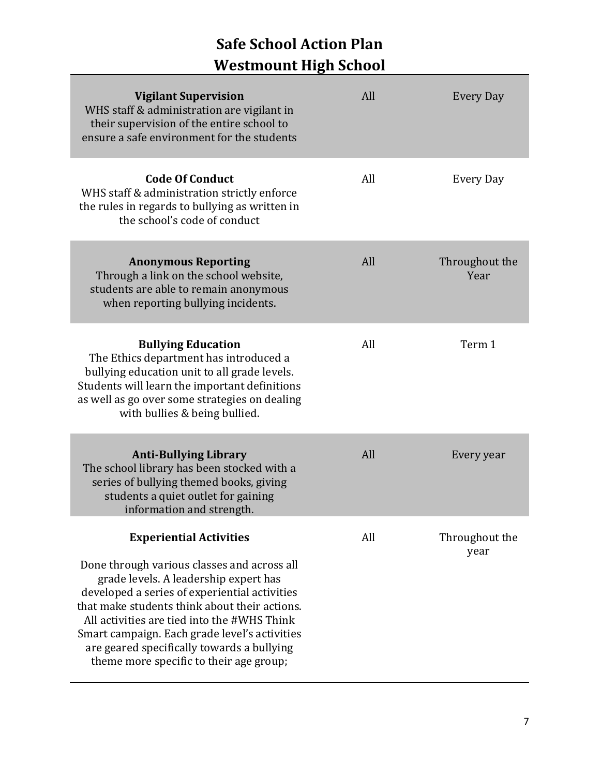| <b>Vigilant Supervision</b><br>WHS staff & administration are vigilant in<br>their supervision of the entire school to<br>ensure a safe environment for the students                                                                                                                                                                                                            | All | <b>Every Day</b>       |
|---------------------------------------------------------------------------------------------------------------------------------------------------------------------------------------------------------------------------------------------------------------------------------------------------------------------------------------------------------------------------------|-----|------------------------|
| <b>Code Of Conduct</b><br>WHS staff & administration strictly enforce<br>the rules in regards to bullying as written in<br>the school's code of conduct                                                                                                                                                                                                                         | All | Every Day              |
| <b>Anonymous Reporting</b><br>Through a link on the school website,<br>students are able to remain anonymous<br>when reporting bullying incidents.                                                                                                                                                                                                                              | All | Throughout the<br>Year |
| <b>Bullying Education</b><br>The Ethics department has introduced a<br>bullying education unit to all grade levels.<br>Students will learn the important definitions<br>as well as go over some strategies on dealing<br>with bullies & being bullied.                                                                                                                          | All | Term 1                 |
| <b>Anti-Bullying Library</b><br>The school library has been stocked with a<br>series of bullying themed books, giving<br>students a quiet outlet for gaining<br>information and strength.                                                                                                                                                                                       | All | Every year             |
| <b>Experiential Activities</b>                                                                                                                                                                                                                                                                                                                                                  | All | Throughout the         |
| Done through various classes and across all<br>grade levels. A leadership expert has<br>developed a series of experiential activities<br>that make students think about their actions.<br>All activities are tied into the #WHS Think<br>Smart campaign. Each grade level's activities<br>are geared specifically towards a bullying<br>theme more specific to their age group; |     | year                   |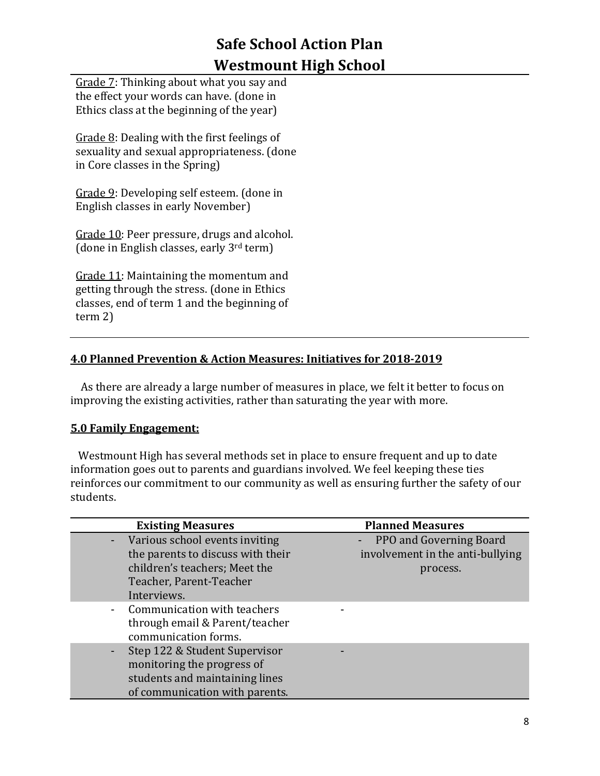Grade 7: Thinking about what you say and the effect your words can have. (done in Ethics class at the beginning of the year)

Grade 8: Dealing with the first feelings of sexuality and sexual appropriateness. (done in Core classes in the Spring)

Grade 9: Developing self esteem. (done in English classes in early November)

Grade 10: Peer pressure, drugs and alcohol. (done in English classes, early 3rd term)

Grade 11: Maintaining the momentum and getting through the stress. (done in Ethics classes, end of term 1 and the beginning of term 2)

#### **4.0 Planned Prevention & Action Measures: Initiatives for 2018-2019**

 As there are already a large number of measures in place, we felt it better to focus on improving the existing activities, rather than saturating the year with more.

#### **5.0 Family Engagement:**

 Westmount High has several methods set in place to ensure frequent and up to date information goes out to parents and guardians involved. We feel keeping these ties reinforces our commitment to our community as well as ensuring further the safety of our students.

| <b>Existing Measures</b>                                                                                                                         | <b>Planned Measures</b>                                                   |
|--------------------------------------------------------------------------------------------------------------------------------------------------|---------------------------------------------------------------------------|
| - Various school events inviting<br>the parents to discuss with their<br>children's teachers; Meet the<br>Teacher, Parent-Teacher<br>Interviews. | - PPO and Governing Board<br>involvement in the anti-bullying<br>process. |
| - Communication with teachers<br>through email & Parent/teacher<br>communication forms.                                                          |                                                                           |
| Step 122 & Student Supervisor<br>monitoring the progress of<br>students and maintaining lines<br>of communication with parents.                  |                                                                           |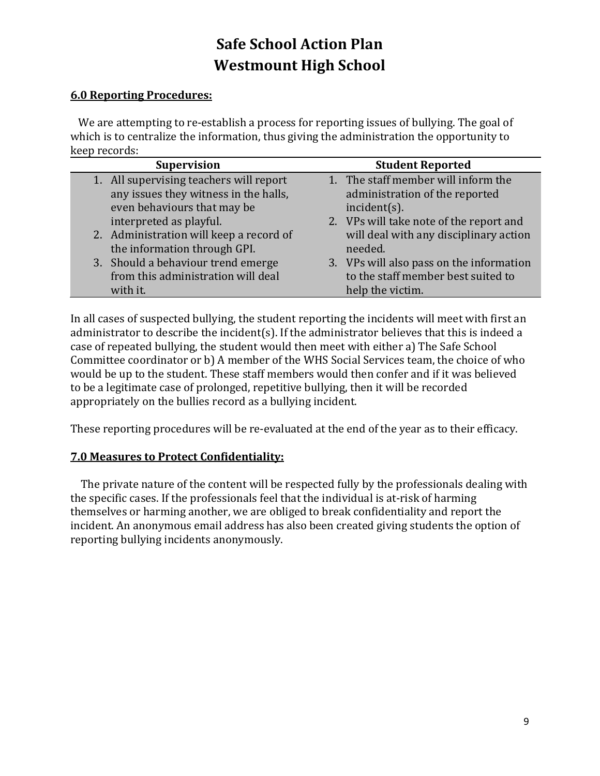#### **6.0 Reporting Procedures:**

 We are attempting to re-establish a process for reporting issues of bullying. The goal of which is to centralize the information, thus giving the administration the opportunity to keep records:

| <b>Supervision</b>                      | <b>Student Reported</b>                  |
|-----------------------------------------|------------------------------------------|
| 1. All supervising teachers will report | 1. The staff member will inform the      |
| any issues they witness in the halls,   | administration of the reported           |
| even behaviours that may be             | incident(s).                             |
| interpreted as playful.                 | 2. VPs will take note of the report and  |
| 2. Administration will keep a record of | will deal with any disciplinary action   |
| the information through GPI.            | needed.                                  |
| 3. Should a behaviour trend emerge      | 3. VPs will also pass on the information |
| from this administration will deal      | to the staff member best suited to       |
| with it.                                | help the victim.                         |

In all cases of suspected bullying, the student reporting the incidents will meet with first an administrator to describe the incident(s). If the administrator believes that this is indeed a case of repeated bullying, the student would then meet with either a) The Safe School Committee coordinator or b) A member of the WHS Social Services team, the choice of who would be up to the student. These staff members would then confer and if it was believed to be a legitimate case of prolonged, repetitive bullying, then it will be recorded appropriately on the bullies record as a bullying incident.

These reporting procedures will be re-evaluated at the end of the year as to their efficacy.

#### **7.0 Measures to Protect Confidentiality:**

 The private nature of the content will be respected fully by the professionals dealing with the specific cases. If the professionals feel that the individual is at-risk of harming themselves or harming another, we are obliged to break confidentiality and report the incident. An anonymous email address has also been created giving students the option of reporting bullying incidents anonymously.